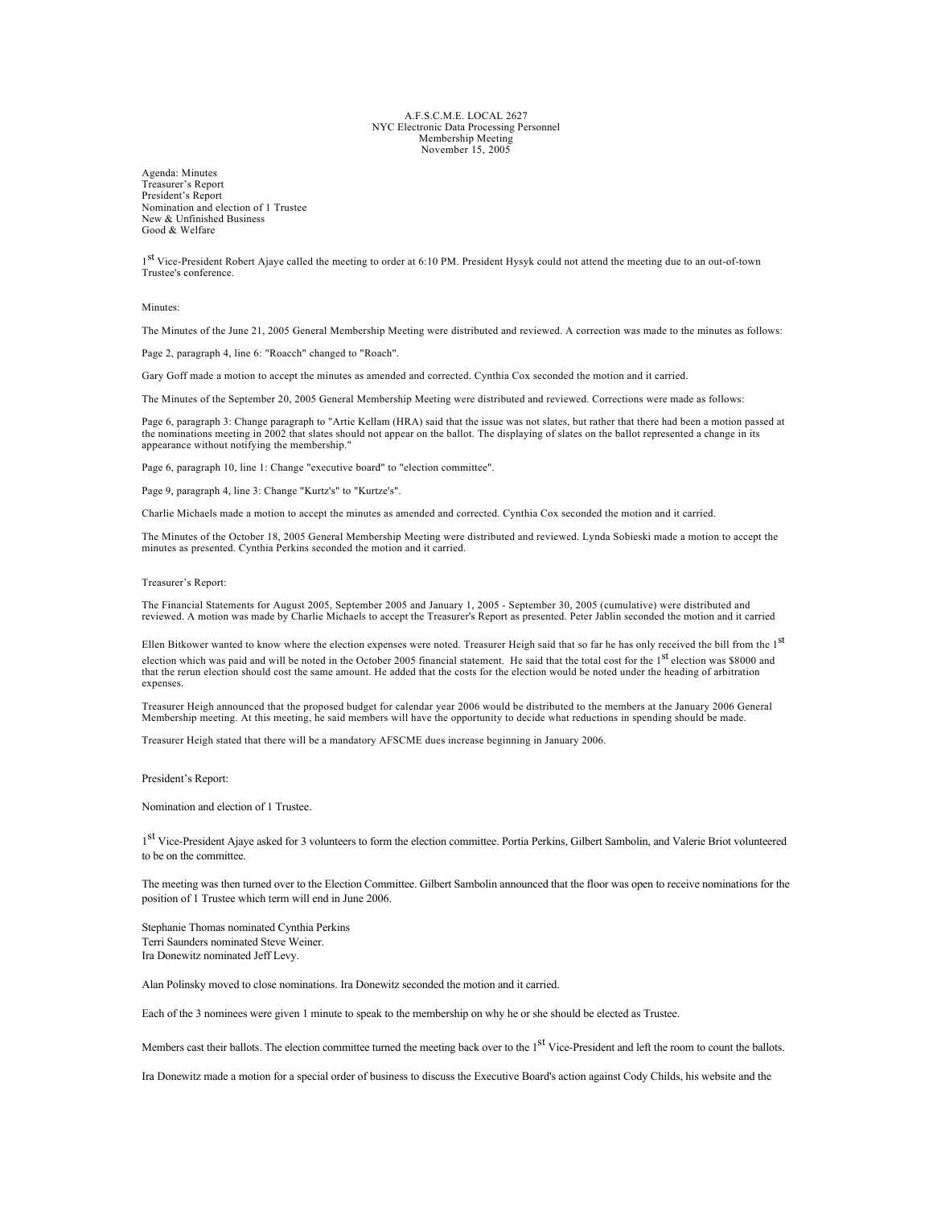## A.F.S.C.M.E. LOCAL 2627 NYC Electronic Data Processing Personnel Membership Meeting November 15, 2005

Agenda: Minutes Treasurer's Report President's Report Nomination and election of 1 Trustee New & Unfinished Business Good & Welfare

1<sup>st</sup> Vice-President Robert Ajaye called the meeting to order at 6:10 PM. President Hysyk could not attend the meeting due to an out-of-town Trustee's conference.

Minutes:

The Minutes of the June 21, 2005 General Membership Meeting were distributed and reviewed. A correction was made to the minutes as follows:

Page 2, paragraph 4, line 6: "Roacch" changed to "Roach".

Gary Goff made a motion to accept the minutes as amended and corrected. Cynthia Cox seconded the motion and it carried.

The Minutes of the September 20, 2005 General Membership Meeting were distributed and reviewed. Corrections were made as follows:

Page 6, paragraph 3: Change paragraph to "Artie Kellam (HRA) said that the issue was not slates, but rather that there had been a motion passed at the nominations meeting in 2002 that slates should not appear on the ballot. The displaying of slates on the ballot represented a change in its appearance without notifying the membership."

Page 6, paragraph 10, line 1: Change "executive board" to "election committee".

Page 9, paragraph 4, line 3: Change "Kurtz's" to "Kurtze's".

Charlie Michaels made a motion to accept the minutes as amended and corrected. Cynthia Cox seconded the motion and it carried.

The Minutes of the October 18, 2005 General Membership Meeting were distributed and reviewed. Lynda Sobieski made a motion to accept the minutes as presented. Cynthia Perkins seconded the motion and it carried.

Treasurer's Report:

The Financial Statements for August 2005, September 2005 and January 1, 2005 - September 30, 2005 (cumulative) were distributed and reviewed. A motion was made by Charlie Michaels to accept the Treasurer's Report as presented. Peter Jablin seconded the motion and it carried

Ellen Bitkower wanted to know where the election expenses were noted. Treasurer Heigh said that so far he has only received the bill from the 1<sup>st</sup> election which was paid and will be noted in the October 2005 financial statement. He said that the total cost for the 1<sup>st</sup> election was \$8000 and that the rerun election should cost the same amount. He added that the costs for the election would be noted under the heading of arbitration expenses.

Treasurer Heigh announced that the proposed budget for calendar year 2006 would be distributed to the members at the January 2006 General Membership meeting. At this meeting, he said members will have the opportunity to decide what reductions in spending should be made.

Treasurer Heigh stated that there will be a mandatory AFSCME dues increase beginning in January 2006.

President's Report:

Nomination and election of 1 Trustee.

1<sup>st</sup> Vice-President Ajaye asked for 3 volunteers to form the election committee. Portia Perkins, Gilbert Sambolin, and Valerie Briot volunteered to be on the committee.

The meeting was then turned over to the Election Committee. Gilbert Sambolin announced that the floor was open to receive nominations for the position of 1 Trustee which term will end in June 2006.

Stephanie Thomas nominated Cynthia Perkins Terri Saunders nominated Steve Weiner. Ira Donewitz nominated Jeff Levy.

Alan Polinsky moved to close nominations. Ira Donewitz seconded the motion and it carried.

Each of the 3 nominees were given 1 minute to speak to the membership on why he or she should be elected as Trustee.

Members cast their ballots. The election committee turned the meeting back over to the 1<sup>st</sup> Vice-President and left the room to count the ballots.

Ira Donewitz made a motion for a special order of business to discuss the Executive Board's action against Cody Childs, his website and the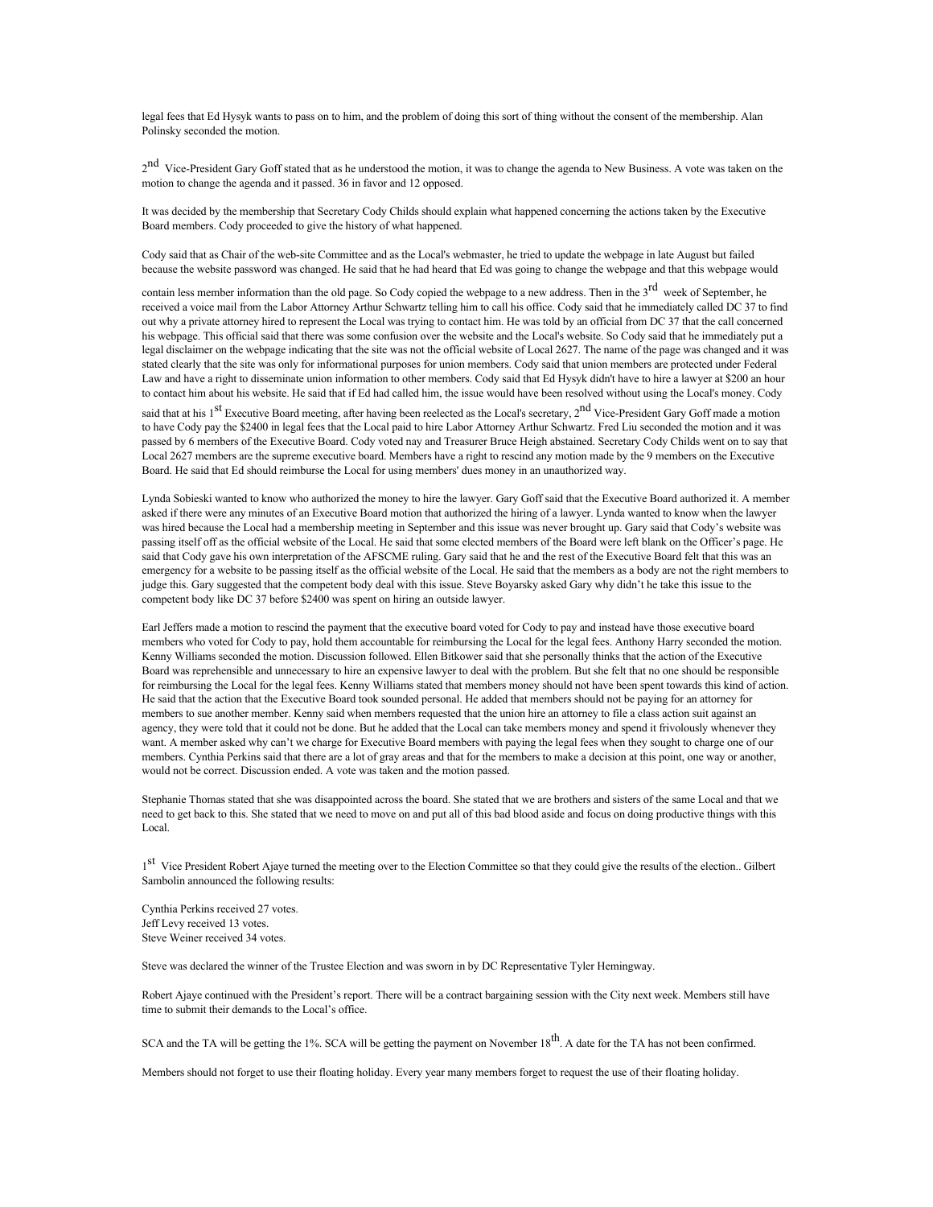legal fees that Ed Hysyk wants to pass on to him, and the problem of doing this sort of thing without the consent of the membership. Alan Polinsky seconded the motion.

2<sup>nd</sup> Vice-President Gary Goff stated that as he understood the motion, it was to change the agenda to New Business. A vote was taken on the motion to change the agenda and it passed. 36 in favor and 12 opposed.

It was decided by the membership that Secretary Cody Childs should explain what happened concerning the actions taken by the Executive Board members. Cody proceeded to give the history of what happened.

Cody said that as Chair of the web-site Committee and as the Local's webmaster, he tried to update the webpage in late August but failed because the website password was changed. He said that he had heard that Ed was going to change the webpage and that this webpage would

contain less member information than the old page. So Cody copied the webpage to a new address. Then in the 3<sup>rd</sup> week of September, he received a voice mail from the Labor Attorney Arthur Schwartz telling him to call his office. Cody said that he immediately called DC 37 to find out why a private attorney hired to represent the Local was trying to contact him. He was told by an official from DC 37 that the call concerned his webpage. This official said that there was some confusion over the website and the Local's website. So Cody said that he immediately put a legal disclaimer on the webpage indicating that the site was not the official website of Local 2627. The name of the page was changed and it was stated clearly that the site was only for informational purposes for union members. Cody said that union members are protected under Federal Law and have a right to disseminate union information to other members. Cody said that Ed Hysyk didn't have to hire a lawyer at \$200 an hour to contact him about his website. He said that if Ed had called him, the issue would have been resolved without using the Local's money. Cody

said that at his 1<sup>st</sup> Executive Board meeting, after having been reelected as the Local's secretary, 2<sup>nd</sup> Vice-President Gary Goff made a motion to have Cody pay the \$2400 in legal fees that the Local paid to hire Labor Attorney Arthur Schwartz. Fred Liu seconded the motion and it was passed by 6 members of the Executive Board. Cody voted nay and Treasurer Bruce Heigh abstained. Secretary Cody Childs went on to say that Local 2627 members are the supreme executive board. Members have a right to rescind any motion made by the 9 members on the Executive Board. He said that Ed should reimburse the Local for using members' dues money in an unauthorized way.

Lynda Sobieski wanted to know who authorized the money to hire the lawyer. Gary Goff said that the Executive Board authorized it. A member asked if there were any minutes of an Executive Board motion that authorized the hiring of a lawyer. Lynda wanted to know when the lawyer was hired because the Local had a membership meeting in September and this issue was never brought up. Gary said that Cody's website was passing itself off as the official website of the Local. He said that some elected members of the Board were left blank on the Officer's page. He said that Cody gave his own interpretation of the AFSCME ruling. Gary said that he and the rest of the Executive Board felt that this was an emergency for a website to be passing itself as the official website of the Local. He said that the members as a body are not the right members to judge this. Gary suggested that the competent body deal with this issue. Steve Boyarsky asked Gary why didn't he take this issue to the competent body like DC 37 before \$2400 was spent on hiring an outside lawyer.

Earl Jeffers made a motion to rescind the payment that the executive board voted for Cody to pay and instead have those executive board members who voted for Cody to pay, hold them accountable for reimbursing the Local for the legal fees. Anthony Harry seconded the motion. Kenny Williams seconded the motion. Discussion followed. Ellen Bitkower said that she personally thinks that the action of the Executive Board was reprehensible and unnecessary to hire an expensive lawyer to deal with the problem. But she felt that no one should be responsible for reimbursing the Local for the legal fees. Kenny Williams stated that members money should not have been spent towards this kind of action. He said that the action that the Executive Board took sounded personal. He added that members should not be paying for an attorney for members to sue another member. Kenny said when members requested that the union hire an attorney to file a class action suit against an agency, they were told that it could not be done. But he added that the Local can take members money and spend it frivolously whenever they want. A member asked why can't we charge for Executive Board members with paying the legal fees when they sought to charge one of our members. Cynthia Perkins said that there are a lot of gray areas and that for the members to make a decision at this point, one way or another, would not be correct. Discussion ended. A vote was taken and the motion passed.

Stephanie Thomas stated that she was disappointed across the board. She stated that we are brothers and sisters of the same Local and that we need to get back to this. She stated that we need to move on and put all of this bad blood aside and focus on doing productive things with this Local.

1<sup>st</sup> Vice President Robert Ajave turned the meeting over to the Election Committee so that they could give the results of the election.. Gilbert Sambolin announced the following results:

Cynthia Perkins received 27 votes. Jeff Levy received 13 votes. Steve Weiner received 34 votes.

Steve was declared the winner of the Trustee Election and was sworn in by DC Representative Tyler Hemingway.

Robert Ajaye continued with the President's report. There will be a contract bargaining session with the City next week. Members still have time to submit their demands to the Local's office.

SCA and the TA will be getting the 1%. SCA will be getting the payment on November 18<sup>th</sup>. A date for the TA has not been confirmed.

Members should not forget to use their floating holiday. Every year many members forget to request the use of their floating holiday.